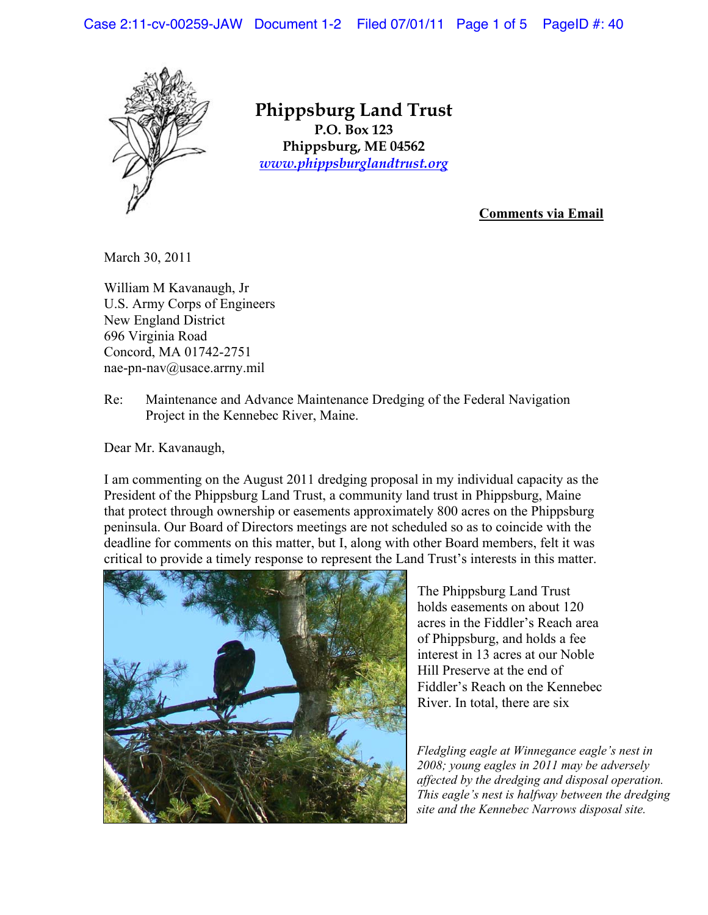Case 2:11-cv-00259-JAW Document 1-2 Filed 07/01/11 Page 1 of 5 PageID #: 40



**Phippsburg Land Trust P.O.** Box 123 **Phippsburg, ME 04562**  $www.physburgland trust.org$ 

**Comments via Email**

March 30, 2011

William M Kavanaugh, Jr U.S. Army Corps of Engineers New England District 696 Virginia Road Concord, MA 01742-2751 nae-pn-nav@usace.arrny.mil

Re: Maintenance and Advance Maintenance Dredging of the Federal Navigation Project in the Kennebec River, Maine.

Dear Mr. Kavanaugh,

I am commenting on the August 2011 dredging proposal in my individual capacity as the President of the Phippsburg Land Trust, a community land trust in Phippsburg, Maine that protect through ownership or easements approximately 800 acres on the Phippsburg peninsula. Our Board of Directors meetings are not scheduled so as to coincide with the deadline for comments on this matter, but I, along with other Board members, felt it was critical to provide a timely response to represent the Land Trust's interests in this matter.



The Phippsburg Land Trust holds easements on about 120 acres in the Fiddler's Reach area of Phippsburg, and holds a fee interest in 13 acres at our Noble Hill Preserve at the end of Fiddler's Reach on the Kennebec River. In total, there are six

*Fledgling eagle at Winnegance eagle's nest in 2008; young eagles in 2011 may be adversely affected by the dredging and disposal operation. This eagle's nest is halfway between the dredging site and the Kennebec Narrows disposal site.*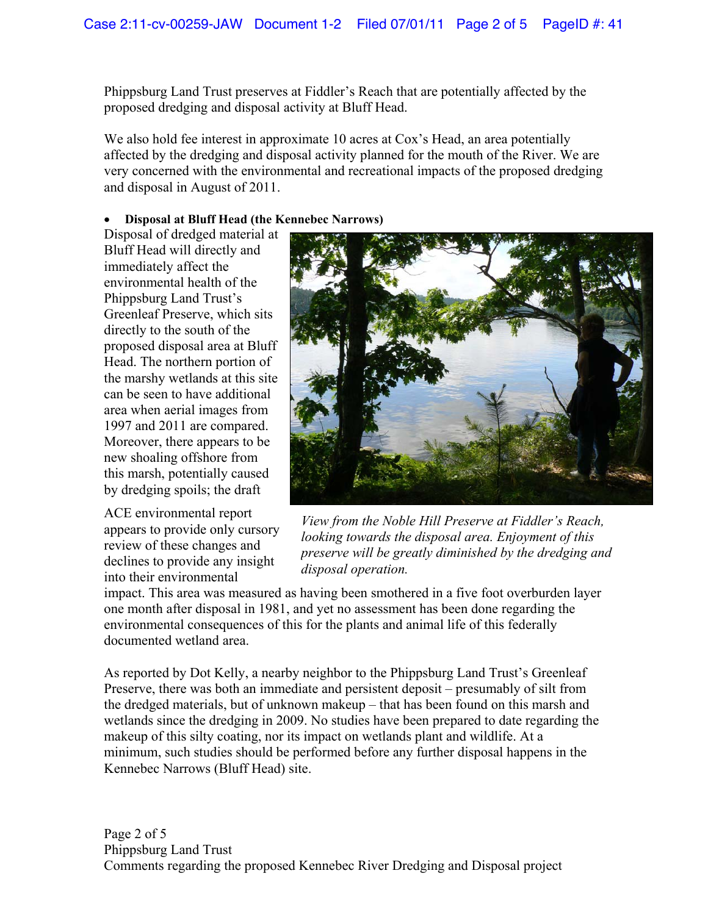Phippsburg Land Trust preserves at Fiddler's Reach that are potentially affected by the proposed dredging and disposal activity at Bluff Head.

We also hold fee interest in approximate 10 acres at Cox's Head, an area potentially affected by the dredging and disposal activity planned for the mouth of the River. We are very concerned with the environmental and recreational impacts of the proposed dredging and disposal in August of 2011.

## x **Disposal at Bluff Head (the Kennebec Narrows)**

Disposal of dredged material at Bluff Head will directly and immediately affect the environmental health of the Phippsburg Land Trust's Greenleaf Preserve, which sits directly to the south of the proposed disposal area at Bluff Head. The northern portion of the marshy wetlands at this site can be seen to have additional area when aerial images from 1997 and 2011 are compared. Moreover, there appears to be new shoaling offshore from this marsh, potentially caused by dredging spoils; the draft

ACE environmental report appears to provide only cursory review of these changes and declines to provide any insight into their environmental



*View from the Noble Hill Preserve at Fiddler's Reach, looking towards the disposal area. Enjoyment of this preserve will be greatly diminished by the dredging and disposal operation.* 

impact. This area was measured as having been smothered in a five foot overburden layer one month after disposal in 1981, and yet no assessment has been done regarding the environmental consequences of this for the plants and animal life of this federally documented wetland area.

As reported by Dot Kelly, a nearby neighbor to the Phippsburg Land Trust's Greenleaf Preserve, there was both an immediate and persistent deposit – presumably of silt from the dredged materials, but of unknown makeup – that has been found on this marsh and wetlands since the dredging in 2009. No studies have been prepared to date regarding the makeup of this silty coating, nor its impact on wetlands plant and wildlife. At a minimum, such studies should be performed before any further disposal happens in the Kennebec Narrows (Bluff Head) site.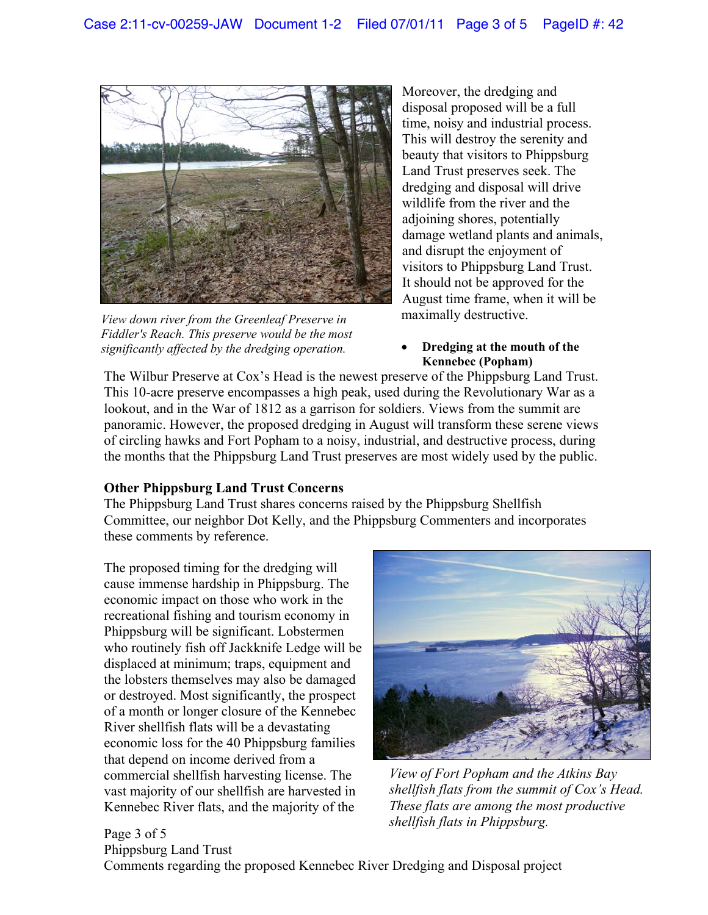

*View down river from the Greenleaf Preserve in Fiddler's Reach. This preserve would be the most significantly affected by the dredging operation.* 

Moreover, the dredging and disposal proposed will be a full time, noisy and industrial process. This will destroy the serenity and beauty that visitors to Phippsburg Land Trust preserves seek. The dredging and disposal will drive wildlife from the river and the adjoining shores, potentially damage wetland plants and animals, and disrupt the enjoyment of visitors to Phippsburg Land Trust. It should not be approved for the August time frame, when it will be maximally destructive.

x **Dredging at the mouth of the Kennebec (Popham)** 

The Wilbur Preserve at Cox's Head is the newest preserve of the Phippsburg Land Trust. This 10-acre preserve encompasses a high peak, used during the Revolutionary War as a lookout, and in the War of 1812 as a garrison for soldiers. Views from the summit are panoramic. However, the proposed dredging in August will transform these serene views of circling hawks and Fort Popham to a noisy, industrial, and destructive process, during the months that the Phippsburg Land Trust preserves are most widely used by the public.

## **Other Phippsburg Land Trust Concerns**

The Phippsburg Land Trust shares concerns raised by the Phippsburg Shellfish Committee, our neighbor Dot Kelly, and the Phippsburg Commenters and incorporates these comments by reference.

The proposed timing for the dredging will cause immense hardship in Phippsburg. The economic impact on those who work in the recreational fishing and tourism economy in Phippsburg will be significant. Lobstermen who routinely fish off Jackknife Ledge will be displaced at minimum; traps, equipment and the lobsters themselves may also be damaged or destroyed. Most significantly, the prospect of a month or longer closure of the Kennebec River shellfish flats will be a devastating economic loss for the 40 Phippsburg families that depend on income derived from a commercial shellfish harvesting license. The vast majority of our shellfish are harvested in Kennebec River flats, and the majority of the



*View of Fort Popham and the Atkins Bay shellfish flats from the summit of Cox's Head. These flats are among the most productive shellfish flats in Phippsburg.* 

Page 3 of 5 Phippsburg Land Trust Comments regarding the proposed Kennebec River Dredging and Disposal project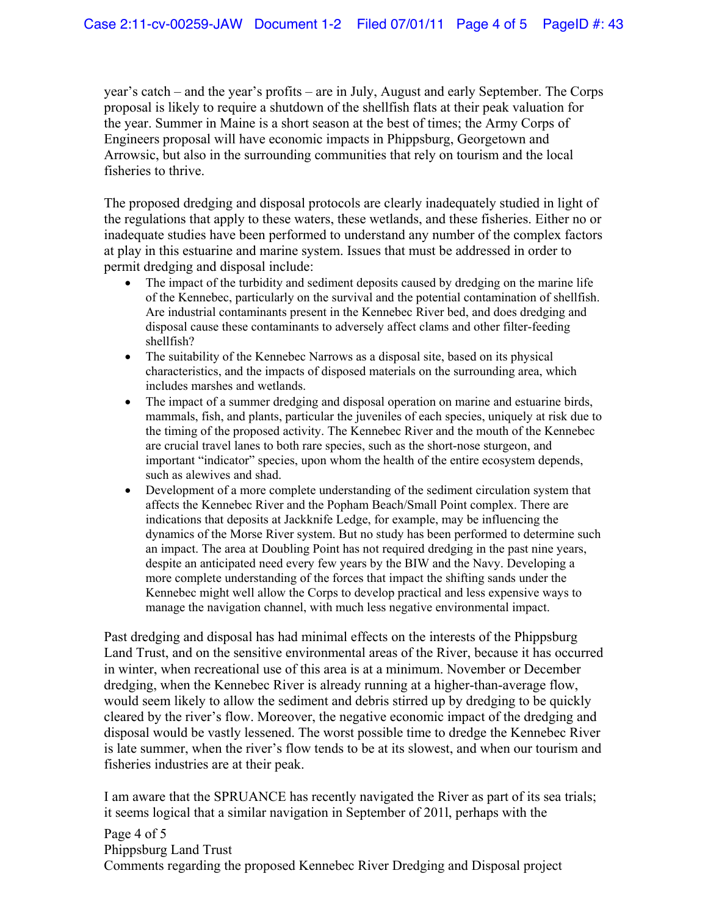year's catch – and the year's profits – are in July, August and early September. The Corps proposal is likely to require a shutdown of the shellfish flats at their peak valuation for the year. Summer in Maine is a short season at the best of times; the Army Corps of Engineers proposal will have economic impacts in Phippsburg, Georgetown and Arrowsic, but also in the surrounding communities that rely on tourism and the local fisheries to thrive.

The proposed dredging and disposal protocols are clearly inadequately studied in light of the regulations that apply to these waters, these wetlands, and these fisheries. Either no or inadequate studies have been performed to understand any number of the complex factors at play in this estuarine and marine system. Issues that must be addressed in order to permit dredging and disposal include:

- The impact of the turbidity and sediment deposits caused by dredging on the marine life of the Kennebec, particularly on the survival and the potential contamination of shellfish. Are industrial contaminants present in the Kennebec River bed, and does dredging and disposal cause these contaminants to adversely affect clams and other filter-feeding shellfish?
- $\bullet$  The suitability of the Kennebec Narrows as a disposal site, based on its physical characteristics, and the impacts of disposed materials on the surrounding area, which includes marshes and wetlands.
- The impact of a summer dredging and disposal operation on marine and estuarine birds, mammals, fish, and plants, particular the juveniles of each species, uniquely at risk due to the timing of the proposed activity. The Kennebec River and the mouth of the Kennebec are crucial travel lanes to both rare species, such as the short-nose sturgeon, and important "indicator" species, upon whom the health of the entire ecosystem depends, such as alewives and shad.
- Development of a more complete understanding of the sediment circulation system that affects the Kennebec River and the Popham Beach/Small Point complex. There are indications that deposits at Jackknife Ledge, for example, may be influencing the dynamics of the Morse River system. But no study has been performed to determine such an impact. The area at Doubling Point has not required dredging in the past nine years, despite an anticipated need every few years by the BIW and the Navy. Developing a more complete understanding of the forces that impact the shifting sands under the Kennebec might well allow the Corps to develop practical and less expensive ways to manage the navigation channel, with much less negative environmental impact.

Past dredging and disposal has had minimal effects on the interests of the Phippsburg Land Trust, and on the sensitive environmental areas of the River, because it has occurred in winter, when recreational use of this area is at a minimum. November or December dredging, when the Kennebec River is already running at a higher-than-average flow, would seem likely to allow the sediment and debris stirred up by dredging to be quickly cleared by the river's flow. Moreover, the negative economic impact of the dredging and disposal would be vastly lessened. The worst possible time to dredge the Kennebec River is late summer, when the river's flow tends to be at its slowest, and when our tourism and fisheries industries are at their peak.

I am aware that the SPRUANCE has recently navigated the River as part of its sea trials; it seems logical that a similar navigation in September of 201l, perhaps with the

Page 4 of 5 Phippsburg Land Trust Comments regarding the proposed Kennebec River Dredging and Disposal project